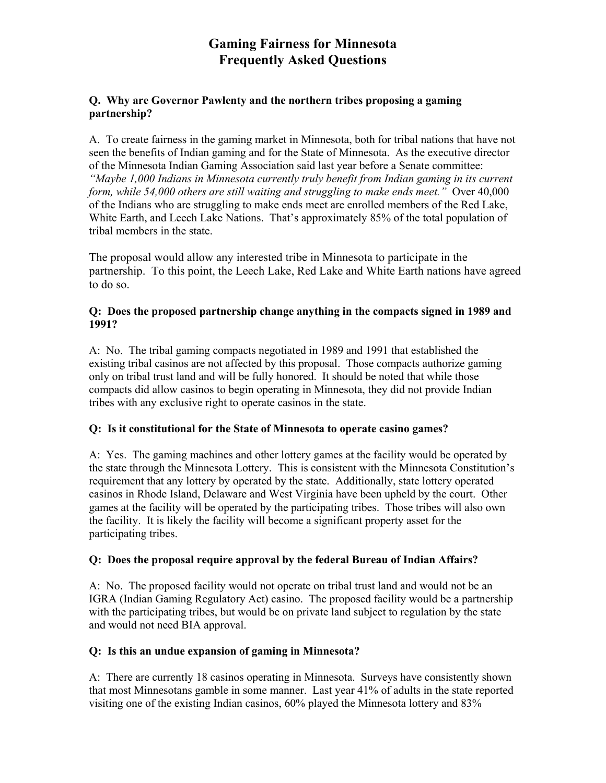# **Gaming Fairness for Minnesota Frequently Asked Questions**

## **Q. Why are Governor Pawlenty and the northern tribes proposing a gaming partnership?**

A. To create fairness in the gaming market in Minnesota, both for tribal nations that have not seen the benefits of Indian gaming and for the State of Minnesota. As the executive director of the Minnesota Indian Gaming Association said last year before a Senate committee: *"Maybe 1,000 Indians in Minnesota currently truly benefit from Indian gaming in its current form, while 54,000 others are still waiting and struggling to make ends meet."* Over 40,000 of the Indians who are struggling to make ends meet are enrolled members of the Red Lake, White Earth, and Leech Lake Nations. That's approximately 85% of the total population of tribal members in the state.

The proposal would allow any interested tribe in Minnesota to participate in the partnership. To this point, the Leech Lake, Red Lake and White Earth nations have agreed to do so.

#### **Q: Does the proposed partnership change anything in the compacts signed in 1989 and 1991?**

A: No. The tribal gaming compacts negotiated in 1989 and 1991 that established the existing tribal casinos are not affected by this proposal. Those compacts authorize gaming only on tribal trust land and will be fully honored. It should be noted that while those compacts did allow casinos to begin operating in Minnesota, they did not provide Indian tribes with any exclusive right to operate casinos in the state.

# **Q: Is it constitutional for the State of Minnesota to operate casino games?**

A: Yes. The gaming machines and other lottery games at the facility would be operated by the state through the Minnesota Lottery. This is consistent with the Minnesota Constitution's requirement that any lottery by operated by the state. Additionally, state lottery operated casinos in Rhode Island, Delaware and West Virginia have been upheld by the court. Other games at the facility will be operated by the participating tribes. Those tribes will also own the facility. It is likely the facility will become a significant property asset for the participating tribes.

# **Q: Does the proposal require approval by the federal Bureau of Indian Affairs?**

A: No. The proposed facility would not operate on tribal trust land and would not be an IGRA (Indian Gaming Regulatory Act) casino. The proposed facility would be a partnership with the participating tribes, but would be on private land subject to regulation by the state and would not need BIA approval.

# **Q: Is this an undue expansion of gaming in Minnesota?**

A: There are currently 18 casinos operating in Minnesota. Surveys have consistently shown that most Minnesotans gamble in some manner. Last year 41% of adults in the state reported visiting one of the existing Indian casinos, 60% played the Minnesota lottery and 83%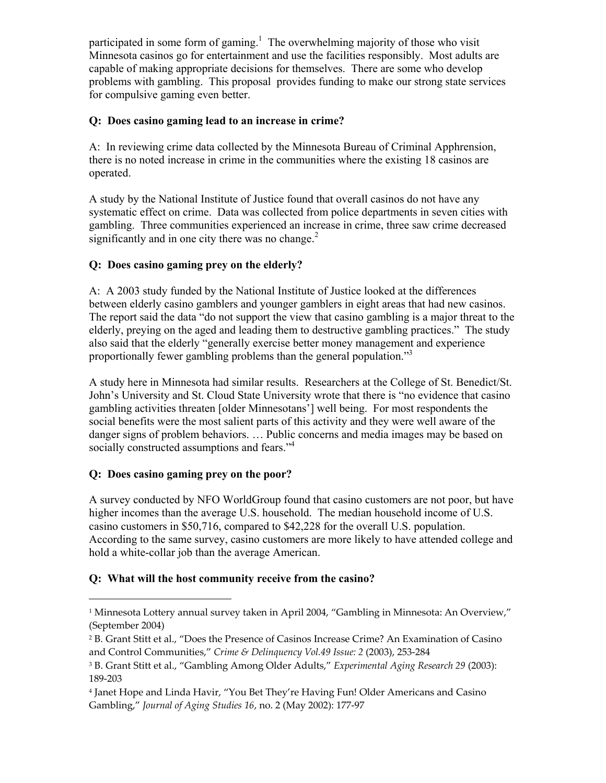participated in some form of gaming.<sup>1</sup> The overwhelming majority of those who visit Minnesota casinos go for entertainment and use the facilities responsibly. Most adults are capable of making appropriate decisions for themselves. There are some who develop problems with gambling. This proposal provides funding to make our strong state services for compulsive gaming even better.

## **Q: Does casino gaming lead to an increase in crime?**

A: In reviewing crime data collected by the Minnesota Bureau of Criminal Apphrension, there is no noted increase in crime in the communities where the existing 18 casinos are operated.

A study by the National Institute of Justice found that overall casinos do not have any systematic effect on crime. Data was collected from police departments in seven cities with gambling. Three communities experienced an increase in crime, three saw crime decreased significantly and in one city there was no change.<sup>2</sup>

## **Q: Does casino gaming prey on the elderly?**

A: A 2003 study funded by the National Institute of Justice looked at the differences between elderly casino gamblers and younger gamblers in eight areas that had new casinos. The report said the data "do not support the view that casino gambling is a major threat to the elderly, preying on the aged and leading them to destructive gambling practices." The study also said that the elderly "generally exercise better money management and experience proportionally fewer gambling problems than the general population."<sup>3</sup>

A study here in Minnesota had similar results. Researchers at the College of St. Benedict/St. John's University and St. Cloud State University wrote that there is "no evidence that casino gambling activities threaten [older Minnesotans'] well being. For most respondents the social benefits were the most salient parts of this activity and they were well aware of the danger signs of problem behaviors. … Public concerns and media images may be based on socially constructed assumptions and fears."<sup>4</sup>

# **Q: Does casino gaming prey on the poor?**

 $\overline{a}$ 

A survey conducted by NFO WorldGroup found that casino customers are not poor, but have higher incomes than the average U.S. household. The median household income of U.S. casino customers in \$50,716, compared to \$42,228 for the overall U.S. population. According to the same survey, casino customers are more likely to have attended college and hold a white-collar job than the average American.

# **Q: What will the host community receive from the casino?**

<sup>&</sup>lt;sup>1</sup> Minnesota Lottery annual survey taken in April 2004, "Gambling in Minnesota: An Overview," (September 2004)

<sup>2</sup> B. Grant Stitt et al., "Does the Presence of Casinos Increase Crime? An Examination of Casino and Control Communities," *Crime & Delinquency Vol.49 Issue: 2* (2003), 253-284

<sup>3</sup> B. Grant Stitt et al., "Gambling Among Older Adults," *Experimental Aging Research 29* (2003): 189-203

<sup>4</sup> Janet Hope and Linda Havir, "You Bet They're Having Fun! Older Americans and Casino Gambling," *Journal of Aging Studies 16*, no. 2 (May 2002): 177-97